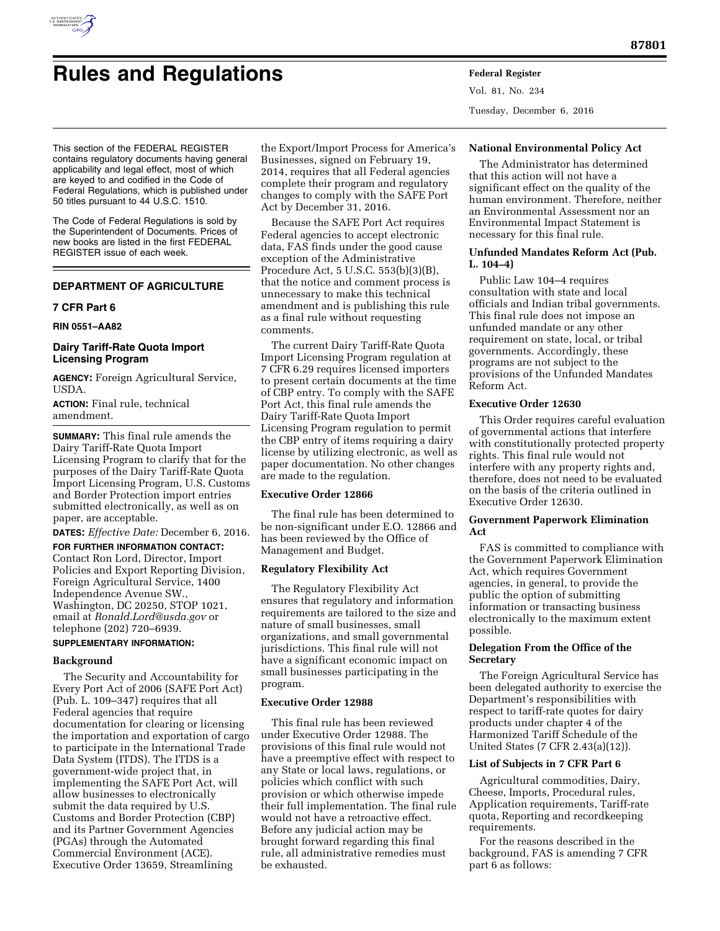

# **Rules and Regulations Federal Register**

Vol. 81, No. 234 Tuesday, December 6, 2016

This section of the FEDERAL REGISTER contains regulatory documents having general applicability and legal effect, most of which are keyed to and codified in the Code of Federal Regulations, which is published under 50 titles pursuant to 44 U.S.C. 1510.

The Code of Federal Regulations is sold by the Superintendent of Documents. Prices of new books are listed in the first FEDERAL REGISTER issue of each week.

# **DEPARTMENT OF AGRICULTURE**

## **7 CFR Part 6**

## **RIN 0551–AA82**

# **Dairy Tariff-Rate Quota Import Licensing Program**

**AGENCY:** Foreign Agricultural Service, USDA.

**ACTION:** Final rule, technical amendment.

**SUMMARY:** This final rule amends the Dairy Tariff-Rate Quota Import Licensing Program to clarify that for the purposes of the Dairy Tariff-Rate Quota Import Licensing Program, U.S. Customs and Border Protection import entries submitted electronically, as well as on paper, are acceptable.

**DATES:** *Effective Date:* December 6, 2016.

**FOR FURTHER INFORMATION CONTACT:**  Contact Ron Lord, Director, Import Policies and Export Reporting Division, Foreign Agricultural Service, 1400 Independence Avenue SW., Washington, DC 20250, STOP 1021, email at *[Ronald.Lord@usda.gov](mailto:Ronald.Lord@usda.gov)* or telephone (202) 720–6939.

#### **SUPPLEMENTARY INFORMATION:**

## **Background**

The Security and Accountability for Every Port Act of 2006 (SAFE Port Act) (Pub. L. 109–347) requires that all Federal agencies that require documentation for clearing or licensing the importation and exportation of cargo to participate in the International Trade Data System (ITDS). The ITDS is a government-wide project that, in implementing the SAFE Port Act, will allow businesses to electronically submit the data required by U.S. Customs and Border Protection (CBP) and its Partner Government Agencies (PGAs) through the Automated Commercial Environment (ACE). Executive Order 13659, Streamlining

the Export/Import Process for America's Businesses, signed on February 19, 2014, requires that all Federal agencies complete their program and regulatory changes to comply with the SAFE Port Act by December 31, 2016.

Because the SAFE Port Act requires Federal agencies to accept electronic data, FAS finds under the good cause exception of the Administrative Procedure Act, 5 U.S.C. 553(b)(3)(B), that the notice and comment process is unnecessary to make this technical amendment and is publishing this rule as a final rule without requesting comments.

The current Dairy Tariff-Rate Quota Import Licensing Program regulation at 7 CFR 6.29 requires licensed importers to present certain documents at the time of CBP entry. To comply with the SAFE Port Act, this final rule amends the Dairy Tariff-Rate Quota Import Licensing Program regulation to permit the CBP entry of items requiring a dairy license by utilizing electronic, as well as paper documentation. No other changes are made to the regulation.

#### **Executive Order 12866**

The final rule has been determined to be non-significant under E.O. 12866 and has been reviewed by the Office of Management and Budget.

## **Regulatory Flexibility Act**

The Regulatory Flexibility Act ensures that regulatory and information requirements are tailored to the size and nature of small businesses, small organizations, and small governmental jurisdictions. This final rule will not have a significant economic impact on small businesses participating in the program.

## **Executive Order 12988**

This final rule has been reviewed under Executive Order 12988. The provisions of this final rule would not have a preemptive effect with respect to any State or local laws, regulations, or policies which conflict with such provision or which otherwise impede their full implementation. The final rule would not have a retroactive effect. Before any judicial action may be brought forward regarding this final rule, all administrative remedies must be exhausted.

## **National Environmental Policy Act**

The Administrator has determined that this action will not have a significant effect on the quality of the human environment. Therefore, neither an Environmental Assessment nor an Environmental Impact Statement is necessary for this final rule.

## **Unfunded Mandates Reform Act (Pub. L. 104–4)**

Public Law 104–4 requires consultation with state and local officials and Indian tribal governments. This final rule does not impose an unfunded mandate or any other requirement on state, local, or tribal governments. Accordingly, these programs are not subject to the provisions of the Unfunded Mandates Reform Act.

## **Executive Order 12630**

This Order requires careful evaluation of governmental actions that interfere with constitutionally protected property rights. This final rule would not interfere with any property rights and, therefore, does not need to be evaluated on the basis of the criteria outlined in Executive Order 12630.

#### **Government Paperwork Elimination Act**

FAS is committed to compliance with the Government Paperwork Elimination Act, which requires Government agencies, in general, to provide the public the option of submitting information or transacting business electronically to the maximum extent possible.

## **Delegation From the Office of the Secretary**

The Foreign Agricultural Service has been delegated authority to exercise the Department's responsibilities with respect to tariff-rate quotes for dairy products under chapter 4 of the Harmonized Tariff Schedule of the United States (7 CFR 2.43(a)(12)).

## **List of Subjects in 7 CFR Part 6**

Agricultural commodities, Dairy, Cheese, Imports, Procedural rules, Application requirements, Tariff-rate quota, Reporting and recordkeeping requirements.

For the reasons described in the background, FAS is amending 7 CFR part 6 as follows: